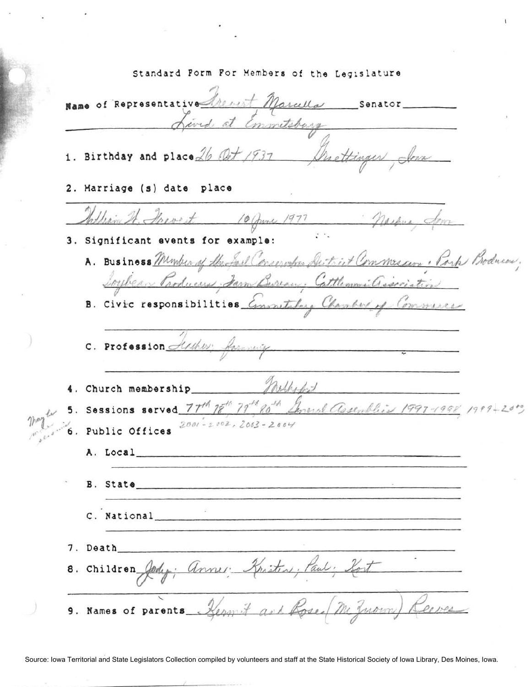Standard Form For Members of the Legislature Name of Representative heart Marcella Senator at Emmitsburg 1. Birthday and place 26 Oct 1937 MacHinger 2. Marriage (s) date place William St. Shevest 10 June 1977 Marque Som 3. Significant events for example: A. Business Member of the fail Conservation De triet Commescere. Park Bodneon. Loylean Producers, Jam Burrow, Cattlemonic association B. Civic responsibilities Emmitching Chamberl of Commune C. Profession Arthur farming mathet 4. Church membership 5. Sessions served  $77^{th}$   $18^{th}$   $79^{th}$   $80^{th}$   $\Delta$ mend Assemblic 1997-1998 1999-<br>6. Public Offices  $2001 - 2002$ ,  $2063 - 2004$ A. Local B. State C. National 7. Death 8. Children Jody; annes: Kristins; Paul: fort Hermit art Rose 9. Names of parents\_\_

Source: Iowa Territorial and State Legislators Collection compiled by volunteers and staff at the State Historical Society of Iowa Library, Des Moines, Iowa.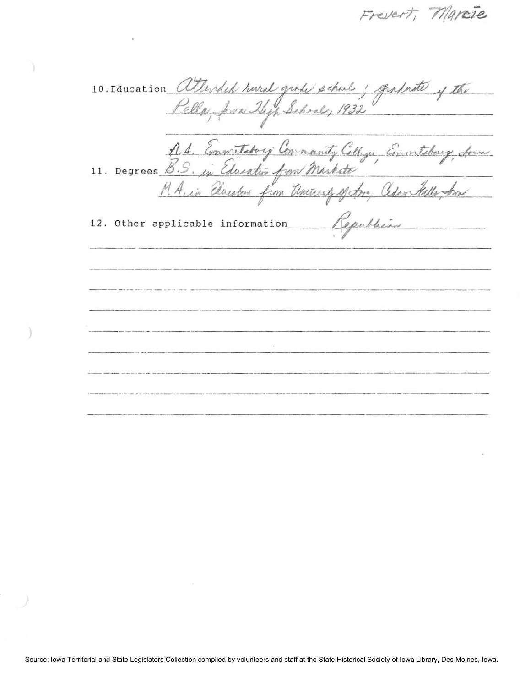Frevert, Marcie

10. Education attended rural grade school ; graduate of the Pella, Jown Hepp School, 1932 -- . 10. Education *Callended hural grade school; graduate of the*<br>Pella, Jose Thep School, 1932<br>A. A. Emmittedory Convenity Cellige, Emmitteday, four M A. in Elausten from Uniteresty of Jor, Cedar Stalls, Am 12. Other applicable information *Republicie* r applicable information republicant contraction --\_.\_------- --\_.\_---- -- --- - - -- ---------\_.\_---------- ---\_.\_------- -------------- --- \_ .- ---- -------.--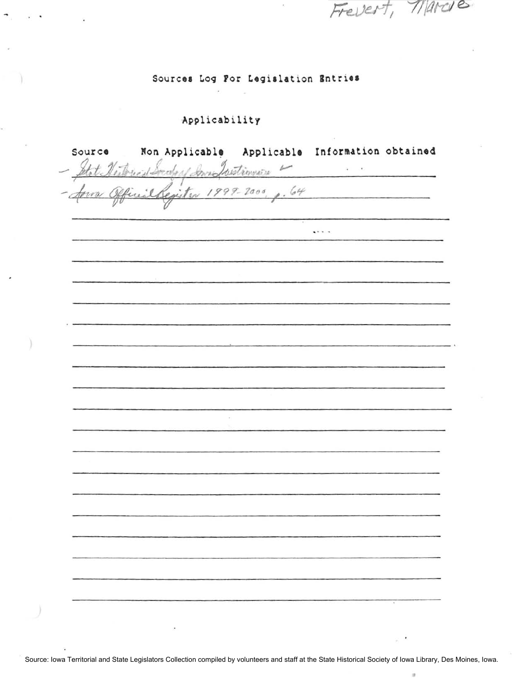Sources Log For Legislation Entries

Frevert, Marcie

 $\cdot$ 

 $\boldsymbol{\pi}$ 

## Applicability

 $\overline{\phantom{a}}$ 

| Source | Non Applicable Applicable Information obtained |                 |  |
|--------|------------------------------------------------|-----------------|--|
|        | Stat Nestrues Socday San Justinnia 4           | ¥.<br>$\bullet$ |  |
|        |                                                |                 |  |
|        |                                                |                 |  |
|        |                                                |                 |  |
|        |                                                | $1 + 1 - 1$     |  |
|        |                                                |                 |  |
|        |                                                |                 |  |
|        |                                                |                 |  |
|        |                                                |                 |  |
|        |                                                |                 |  |
|        |                                                |                 |  |
|        |                                                |                 |  |
|        |                                                |                 |  |
|        |                                                |                 |  |
|        |                                                |                 |  |
|        |                                                |                 |  |
|        |                                                |                 |  |
|        |                                                |                 |  |
|        |                                                |                 |  |
|        |                                                |                 |  |
|        |                                                |                 |  |
|        |                                                |                 |  |
|        |                                                |                 |  |
|        |                                                |                 |  |
|        |                                                |                 |  |
|        |                                                |                 |  |
|        |                                                |                 |  |
|        |                                                |                 |  |
|        |                                                |                 |  |
|        |                                                |                 |  |
|        |                                                |                 |  |
|        |                                                |                 |  |

Source: Iowa Territorial and State Legislators Collection compiled by volunteers and staff at the State Historical Society of Iowa Library, Des Moines, Iowa.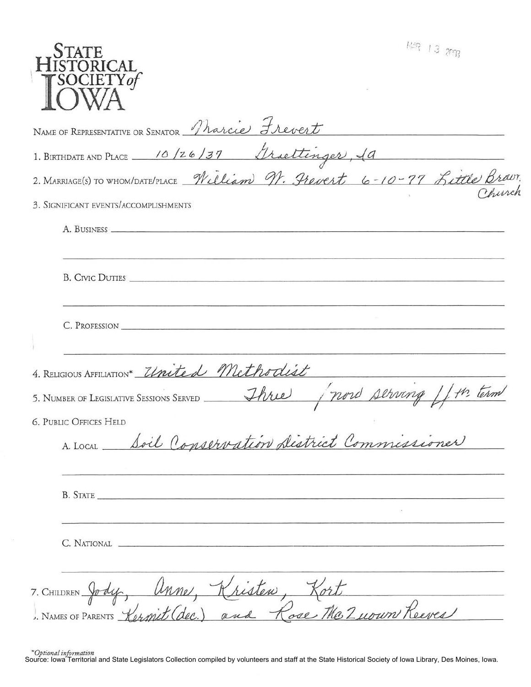| $13$ ang<br><b>STATE</b><br><b>STORICAL</b><br>SOCIETY of                                                                   |
|-----------------------------------------------------------------------------------------------------------------------------|
| NAME OF REPRESENTATIVE OR SENATOR Tharcie Frevert                                                                           |
| 1. BIRTHDATE AND PLACE 10/26/37 Griettinger, 10<br>2. MARRIAGE(S) TO WHOM/DATE/PLACE William N. Frevert 6-10-77 Little Brav |
|                                                                                                                             |
| 3. SIGNIFICANT EVENTS/ACCOMPLISHMENTS                                                                                       |
| A. BUSINESS                                                                                                                 |
| B. CIVIC DUTIES                                                                                                             |
| C. PROFESSION                                                                                                               |
| 4. RELIGIOUS AFFILIATION* United Methodist                                                                                  |
| (now serving )<br>Three<br>5. NUMBER OF LEGISLATIVE SESSIONS SERVED                                                         |
| <b>6. PUBLIC OFFICES HELD</b><br>A. LOCAL Soil Conservation District Commissioner                                           |
| B. STATE                                                                                                                    |
| C. NATIONAL                                                                                                                 |
| 7. CHILDREN Jody, Anne, Kristen, Kort<br>I. NAMES OF PARENTS Kermit (dec.) and Rose The Zuown Reeves                        |

\*Optional information<br>Source: Iowa Territorial and State Legislators Collection compiled by volunteers and staff at the State Historical Society of Iowa Library, Des Moines, Iowa.